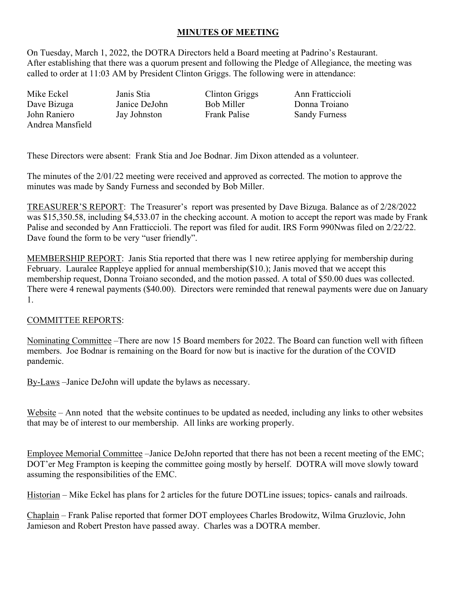## **MINUTES OF MEETING**

On Tuesday, March 1, 2022, the DOTRA Directors held a Board meeting at Padrino's Restaurant. After establishing that there was a quorum present and following the Pledge of Allegiance, the meeting was called to order at 11:03 AM by President Clinton Griggs. The following were in attendance:

Mike Eckel Janis Stia Clinton Griggs Ann Fratticcioli Dave Bizuga John Raniero Andrea Mansfield

Janice DeJohn Jay Johnston

Bob Miller Frank Palise

Donna Troiano Sandy Furness

These Directors were absent: Frank Stia and Joe Bodnar. Jim Dixon attended as a volunteer.

The minutes of the 2/01/22 meeting were received and approved as corrected. The motion to approve the minutes was made by Sandy Furness and seconded by Bob Miller.

TREASURER'S REPORT: The Treasurer's report was presented by Dave Bizuga. Balance as of 2/28/2022 was \$15,350.58, including \$4,533.07 in the checking account. A motion to accept the report was made by Frank Palise and seconded by Ann Fratticcioli. The report was filed for audit. IRS Form 990Nwas filed on 2/22/22. Dave found the form to be very "user friendly".

MEMBERSHIP REPORT: Janis Stia reported that there was 1 new retiree applying for membership during February. Lauralee Rappleye applied for annual membership(\$10.); Janis moved that we accept this membership request, Donna Troiano seconded, and the motion passed. A total of \$50.00 dues was collected. There were 4 renewal payments (\$40.00). Directors were reminded that renewal payments were due on January 1.

## COMMITTEE REPORTS:

Nominating Committee –There are now 15 Board members for 2022. The Board can function well with fifteen members. Joe Bodnar is remaining on the Board for now but is inactive for the duration of the COVID pandemic.

By-Laws –Janice DeJohn will update the bylaws as necessary.

Website – Ann noted that the website continues to be updated as needed, including any links to other websites that may be of interest to our membership. All links are working properly.

Employee Memorial Committee –Janice DeJohn reported that there has not been a recent meeting of the EMC; DOT'er Meg Frampton is keeping the committee going mostly by herself. DOTRA will move slowly toward assuming the responsibilities of the EMC.

Historian – Mike Eckel has plans for 2 articles for the future DOTLine issues; topics- canals and railroads.

Chaplain – Frank Palise reported that former DOT employees Charles Brodowitz, Wilma Gruzlovic, John Jamieson and Robert Preston have passed away. Charles was a DOTRA member.